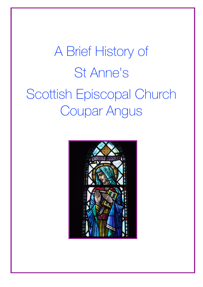## A Brief History of St Anne's Scottish Episcopal Church Coupar Angus

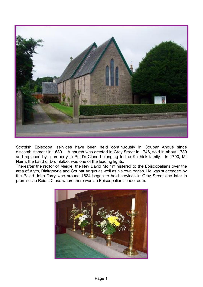

Scottish Episcopal services have been held continuously in Coupar Angus since disestablishment in 1689. A church was erected in Gray Street in 1746, sold in about 1780 and replaced by a property in Reid's Close belonging to the Keithick family. In 1790, Mr Nairn, the Laird of Drumkilbo, was one of the leading lights.

Thereafter the rector of Meigle, the Rev David Moir ministered to the Episcopalians over the area of Alyth, Blairgowrie and Coupar Angus as well as his own parish. He was succeeded by the Rev'd John Torry who around 1824 began to hold services in Gray Street and later in premises in Reid's Close where there was an Episcopalian schoolroom.

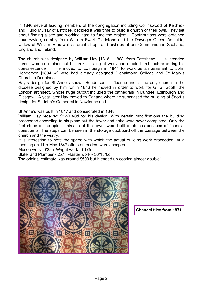In 1846 several leading members of the congregation including Collinswood of Keithlick and Hugo Murray of Lintrose, decided it was time to build a church of their own. They set about finding a site and working hard to fund the project. Contributions were obtained countrywide, notably from William Ewart Gladstone and the Dowager Queen Adelaide, widow of William IV as well as archbishops and bishops of our Communion in Scotland, England and Ireland.

The church was designed by William Hay [1818 - 1888] from Peterhead. His intended career was as a joiner but he broke his leg at work and studied architecture during his convalescence. He moved to Edinburgh in 1844 to work as an assistant to John Henderson [1804-62] who had already designed Glenalmond College and St Mary's Church in Dunblane.

Hay's design for St Anne's shows Henderson's influence and is the only church in the diocese designed by him for in 1846 he moved in order to work for G. G. Scott, the London architect, whose huge output included the cathedrals in Dundee, Edinburgh and Glasgow. A year later Hay moved to Canada where he supervised the building of Scott's design for St John's Cathedral in Newfoundland.

St Anne's was built in 1847 and consecrated in 1848.

William Hay received £12/13/0d for his design. With certain modifications the building proceeded according to his plans but the tower and spire were never completed. Only the first steps of the spiral staircase of the tower were built doubtless because of financial constraints. The steps can be seen in the storage cupboard off the passage between the church and the vestry.

It is interesting to note the speed with which the actual building work proceeded. At a meeting on 11th May 1847 offers of tenders were accepted.

Mason work - £325 Wright work - £175

Slater and Plumber - £57 Plaster work - £6/13/0d

The original estimate was around £500 but it ended up costing almost double!



**Chancel tiles from 1871**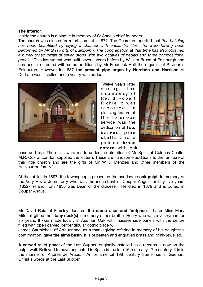## **The Interior.**

Inside the church is a plaque in memory of St Anne's chief founders.

The church was closed for refurbishment in1871. The Guardian reported that *'the building has been beautified by laying a chancel with encaustic tiles, the work having been performed by Mr G H Potts of Edinburgh. The congregation at that time has also obtained a purely toned organ of seven stops with two octaves of pedals and three compositional pedals.'* This instrument was built several years before by William Bruce of Edinburgh and has been re-erected with some additions by Mr Frederick Halt the organist of St John's Edinburgh. However in 1887 **the present pipe organ by Harrison and Harrison** of Durham was installed and a vestry was added.



Twelve years later during the incumbency of Rev'd Robert Richie it was reported 'a pleasing feature of the forenoon service was the dedication of **two, c a r v e d , p i n e**  stalls and a polished **brass** 



**lectern** with oak

base and top. The stalls were made under the direction of Mr Speir of Culdees Castle. M.R. Cox of London supplied the lectern. These are handsome additions to the furniture of this little church and are the gifts of Mr W D Menzies and other members of the Hallyburton family.'

At the jubilee in 1897, the townspeople presented the handsome **oak pulpit** in memory of the Very Rev'd John Torry who was the incumbent of Coupar Angus for fifty-five years [1822-79] and from 1838 was Dean of the diocese. He died in 1879 and is buried in Coupar Angus.

Mr David Reid of Elmsley donated **the stone altar and footpace**. Later Miss Mary Mitchell gifted the **litany desk(s)** in memory of her brother Henry who was a vestryman for six years. It was made locally in Austrian Oak with massive side panels with the centre filled with open carved perpendicular gothic tracery.

James Carmichael of Arthurstone, as a thanksgiving offering in memory of his daughter's confirmation, gave **the alms basin**. It is of beaten and engraved brass and richly jewelled.

**A carved relief panel** of the Last Supper, originally installed as a reredos is now on the pulpit wall. Believed to have originated in Spain in the late 16th or early 17th century, it is in the manner of Andres de Araos. An ornamental 19th century frame has in German, Christ's words at the Last Supper.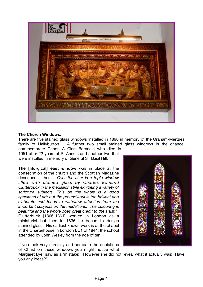

## **The Church Windows.**

There are five stained glass windows installed in 1890 in memory of the Graham-Menzies family of Hallyburton. A further two small stained glass windows in the chancel commemorate Canon A Clark-Barnacle who died in

1951 after 22 years at St Anne's and another two that were installed in memory of General Sir Basil Hill.

**The [liturgical] east window** was in place at the consecration of the church and the Scottish Magazine described it thus: *'Over the altar is a triple window filled with stained glass by Charles Edmund Clutterbuck in the medallion style exhibiting a variety of scripture subjects. This on the whole is a good specimen of art; but the groundwork is too brilliant and elaborate and tends to withdraw attention from the important subjects on the medallions. The colouring is beautiful and the whole does great credit to the artist.'*  Clutterbuck [1806-1861] worked in London as a miniaturist but then in 1836 he began to design stained glass. His earliest known work is at the chapel in the Charterhouse in London EC1 of 1844, the school attended by John Wesley from the age of ten.



If you look very carefully and compare the depictions of Christ on these windows you might notice what

Margaret Lye\* saw as a 'mistake!' However she did not reveal what it actually was! Have you any ideas?"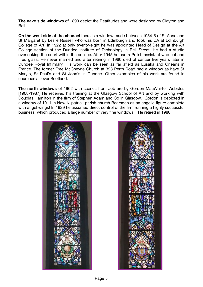**The nave side windows** of 1890 depict the Beatitudes and were designed by Clayton and Bell.

**On the west side of the chancel** there is a window made between 1954-5 of St Anne and St Margaret by Leslie Russell who was born in Edinburgh and took his DA at Edinburgh College of Art. In 1922 at only twenty-eight he was appointed Head of Design at the Art College section of the Dundee Institute of Technology in Bell Street. He had a studio overlooking the court within the college. After 1945 he had a Polish assistant who cut and fired glass. He never married and after retiring in 1960 died of cancer five years later in Dundee Royal Infirmary. His work can be seen as far afield as Lusaka and Orleans in France. The former Free McCheyne Church at 328 Perth Road had a window as have St Mary's, St Paul's and St John's in Dundee. Other examples of his work are found in churches all over Scotland.

**The north windows** of 1962 with scenes from Job are by Gordon MacWhirter Webster. [1908-1987] He received his training at the Glasgow School of Art and by working with Douglas Hamilton in the firm of Stephen Adam and Co in Glasgow. Gordon is depicted in a window of 1911 in New Kilpatrick parish church Bearsden as an angelic figure complete with angel wings! In 1929 he assumed direct control of the firm running a highly successful business, which produced a large number of very fine windows. He retired in 1980.



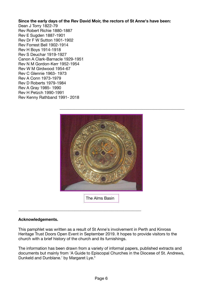**Since the early days of the Rev David Moir, the rectors of St Anne's have been:** 

Dean J Torry 1822-79 Rev Robert Richie 1880-1887 Rev E Sugden 1887-1901 Rev Dr F W Sutton 1901-1902 Rev Forrest Bell 1902-1914 Rev H Boys 1914-1918 Rev S Deuchar 1919-1927 Canon A Clark-Barnacle 1929-1951 Rev N M Gordon-Kerr 1952-1954 Rev W M Girdwood 1954-67 Rev C Glennie 1963- 1973 Rev A Conn 1973-1979 Rev D Roberts 1979-1984 Rev A Gray 1985- 1990 Rev H Petzch 1990-1991 Rev Kenny Rathband 1991- 2018



## **Acknowledgements.**

This pamphlet was written as a result of St Anne's involvement in Perth and Kinross Heritage Trust Doors Open Event in September 2019. It hopes to provide visitors to the church with a brief history of the church and its furnishings.

**\_\_\_\_\_\_\_\_\_\_\_\_\_\_\_\_\_\_\_\_\_\_\_\_\_\_\_\_\_\_\_\_\_\_\_\_\_\_\_\_\_\_\_\_\_\_\_\_\_\_\_\_\_\_\_\_\_\_\_\_** 

The information has been drawn from a variety of informal papers, published extracts and documents but mainly from 'A Guide to Episcopal Churches in the Diocese of St. Andrews, Dunkeld and Dunblane.' by Margaret Lye.\*